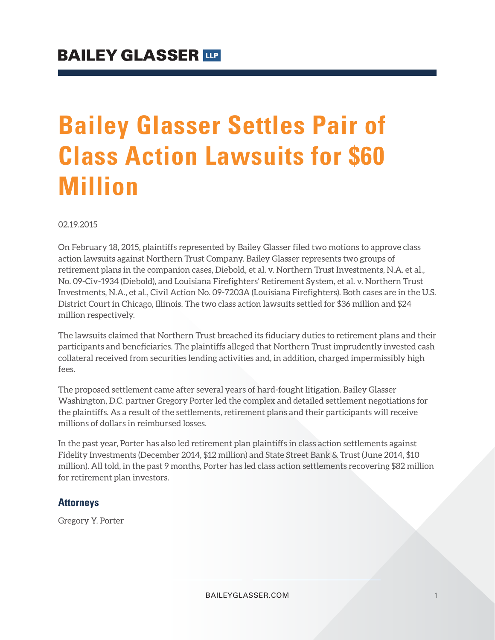## **Bailey Glasser Settles Pair of Class Action Lawsuits for \$60 Million**

02.19.2015

On February 18, 2015, plaintiffs represented by Bailey Glasser filed two motions to approve class action lawsuits against Northern Trust Company. Bailey Glasser represents two groups of retirement plans in the companion cases, Diebold, et al. v. Northern Trust Investments, N.A. et al., No. 09-Civ-1934 (Diebold), and Louisiana Firefighters' Retirement System, et al. v. Northern Trust Investments, N.A., et al., Civil Action No. 09-7203A (Louisiana Firefighters). Both cases are in the U.S. District Court in Chicago, Illinois. The two class action lawsuits settled for \$36 million and \$24 million respectively.

The lawsuits claimed that Northern Trust breached its fiduciary duties to retirement plans and their participants and beneficiaries. The plaintiffs alleged that Northern Trust imprudently invested cash collateral received from securities lending activities and, in addition, charged impermissibly high fees.

The proposed settlement came after several years of hard-fought litigation. Bailey Glasser Washington, D.C. partner Gregory Porter led the complex and detailed settlement negotiations for the plaintiffs. As a result of the settlements, retirement plans and their participants will receive millions of dollars in reimbursed losses.

In the past year, Porter has also led retirement plan plaintiffs in class action settlements against Fidelity Investments (December 2014, \$12 million) and State Street Bank & Trust (June 2014, \$10 million). All told, in the past 9 months, Porter has led class action settlements recovering \$82 million for retirement plan investors.

## **Attorneys**

Gregory Y. Porter